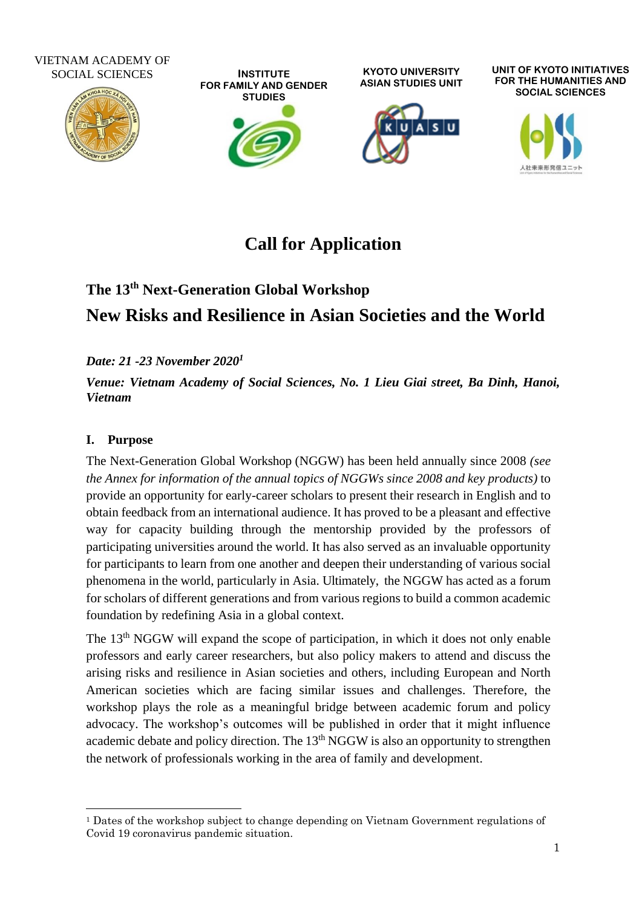#### VIETNAM ACADEMY OF SOCIAL SCIENCES



**INSTITUTE FOR FAMILY AND GENDER STUDIES**

**KYOTO UNIVERSITY ASIAN STUDIES UNIT**



**UNIT OF KYOTO INITIATIVES FOR THE HUMANITIES AND SOCIAL SCIENCES**



# **Call for Application**

# **The 13 th Next-Generation Global Workshop New Risks and Resilience in Asian Societies and the World**

*Date: 21 -23 November 2020<sup>1</sup>*

*Venue: Vietnam Academy of Social Sciences, No. 1 Lieu Giai street, Ba Dinh, Hanoi, Vietnam*

# **I. Purpose**

The Next-Generation Global Workshop (NGGW) has been held annually since 2008 *(see the Annex for information of the annual topics of NGGWs since 2008 and key products)* to provide an opportunity for early-career scholars to present their research in English and to obtain feedback from an international audience. It has proved to be a pleasant and effective way for capacity building through the mentorship provided by the professors of participating universities around the world. It has also served as an invaluable opportunity for participants to learn from one another and deepen their understanding of various social phenomena in the world, particularly in Asia. Ultimately, the NGGW has acted as a forum for scholars of different generations and from various regions to build a common academic foundation by redefining Asia in a global context.

The 13<sup>th</sup> NGGW will expand the scope of participation, in which it does not only enable professors and early career researchers, but also policy makers to attend and discuss the arising risks and resilience in Asian societies and others, including European and North American societies which are facing similar issues and challenges. Therefore, the workshop plays the role as a meaningful bridge between academic forum and policy advocacy. The workshop's outcomes will be published in order that it might influence academic debate and policy direction. The 13<sup>th</sup> NGGW is also an opportunity to strengthen the network of professionals working in the area of family and development.

<sup>1</sup> Dates of the workshop subject to change depending on Vietnam Government regulations of Covid 19 coronavirus pandemic situation.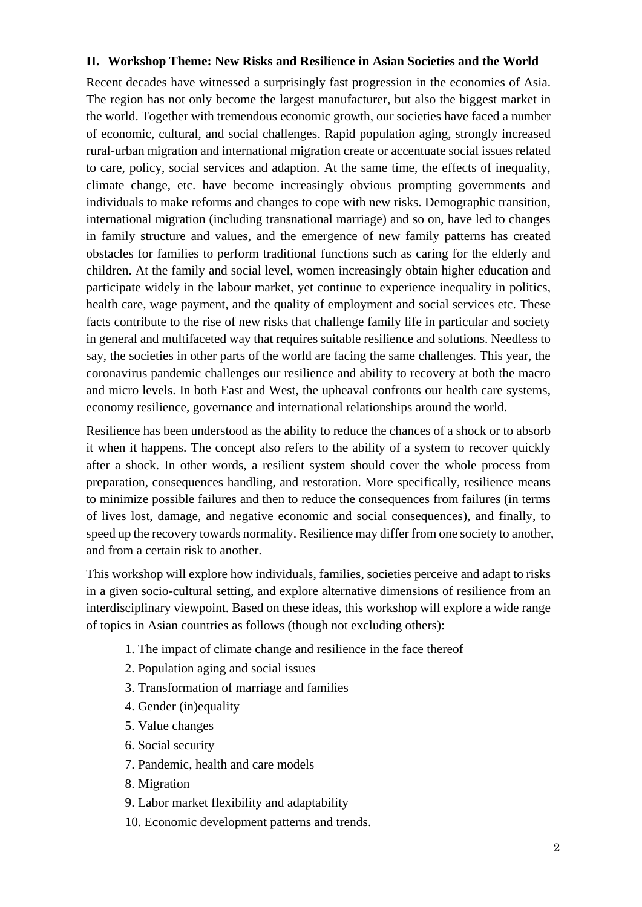#### **II. Workshop Theme: New Risks and Resilience in Asian Societies and the World**

Recent decades have witnessed a surprisingly fast progression in the economies of Asia. The region has not only become the largest manufacturer, but also the biggest market in the world. Together with tremendous economic growth, our societies have faced a number of economic, cultural, and social challenges. Rapid population aging, strongly increased rural-urban migration and international migration create or accentuate social issues related to care, policy, social services and adaption. At the same time, the effects of inequality, climate change, etc. have become increasingly obvious prompting governments and individuals to make reforms and changes to cope with new risks. Demographic transition, international migration (including transnational marriage) and so on, have led to changes in family structure and values, and the emergence of new family patterns has created obstacles for families to perform traditional functions such as caring for the elderly and children. At the family and social level, women increasingly obtain higher education and participate widely in the labour market, yet continue to experience inequality in politics, health care, wage payment, and the quality of employment and social services etc. These facts contribute to the rise of new risks that challenge family life in particular and society in general and multifaceted way that requires suitable resilience and solutions. Needless to say, the societies in other parts of the world are facing the same challenges. This year, the coronavirus pandemic challenges our resilience and ability to recovery at both the macro and micro levels. In both East and West, the upheaval confronts our health care systems, economy resilience, governance and international relationships around the world.

Resilience has been understood as the ability to reduce the chances of a shock or to absorb it when it happens. The concept also refers to the ability of a system to recover quickly after a shock. In other words, a resilient system should cover the whole process from preparation, consequences handling, and restoration. More specifically, resilience means to minimize possible failures and then to reduce the consequences from failures (in terms of lives lost, damage, and negative economic and social consequences), and finally, to speed up the recovery towards normality. Resilience may differ from one society to another, and from a certain risk to another.

This workshop will explore how individuals, families, societies perceive and adapt to risks in a given socio-cultural setting, and explore alternative dimensions of resilience from an interdisciplinary viewpoint. Based on these ideas, this workshop will explore a wide range of topics in Asian countries as follows (though not excluding others):

- 1. The impact of climate change and resilience in the face thereof
- 2. Population aging and social issues
- 3. Transformation of marriage and families
- 4. Gender (in)equality
- 5. Value changes
- 6. Social security
- 7. Pandemic, health and care models
- 8. Migration
- 9. Labor market flexibility and adaptability
- 10. Economic development patterns and trends.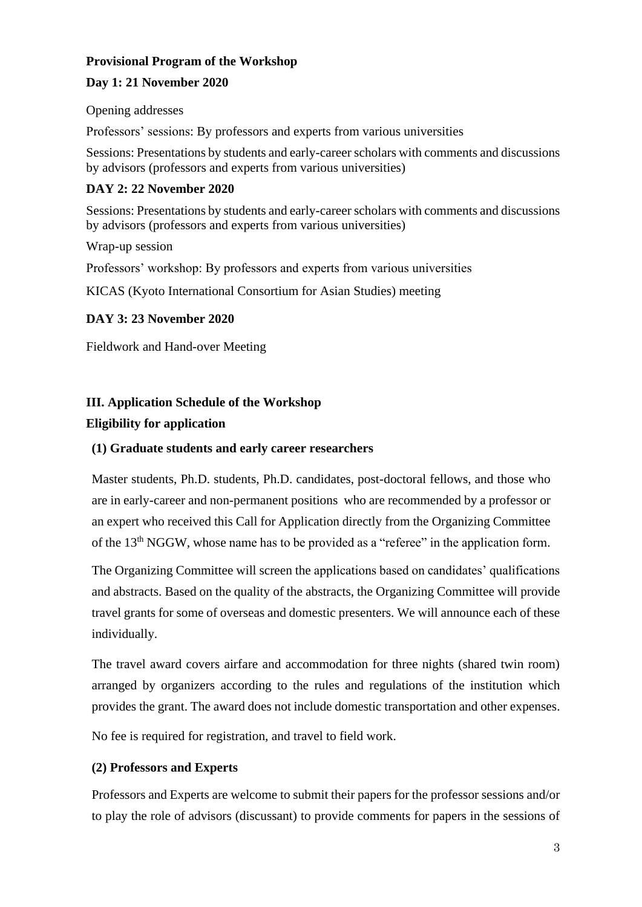#### **Provisional Program of the Workshop**

#### **Day 1: 21 November 2020**

Opening addresses

Professors' sessions: By professors and experts from various universities

Sessions: Presentations by students and early-career scholars with comments and discussions by advisors (professors and experts from various universities)

### **DAY 2: 22 November 2020**

Sessions: Presentations by students and early-career scholars with comments and discussions by advisors (professors and experts from various universities)

Wrap-up session

Professors' workshop: By professors and experts from various universities

KICAS (Kyoto International Consortium for Asian Studies) meeting

#### **DAY 3: 23 November 2020**

Fieldwork and Hand-over Meeting

#### **III. Application Schedule of the Workshop**

#### **Eligibility for application**

### **(1) Graduate students and early career researchers**

Master students, Ph.D. students, Ph.D. candidates, post-doctoral fellows, and those who are in early-career and non-permanent positions who are recommended by a professor or an expert who received this Call for Application directly from the Organizing Committee of the 13<sup>th</sup> NGGW, whose name has to be provided as a "referee" in the application form.

The Organizing Committee will screen the applications based on candidates' qualifications and abstracts. Based on the quality of the abstracts, the Organizing Committee will provide travel grants for some of overseas and domestic presenters. We will announce each of these individually.

The travel award covers airfare and accommodation for three nights (shared twin room) arranged by organizers according to the rules and regulations of the institution which provides the grant. The award does not include domestic transportation and other expenses.

No fee is required for registration, and travel to field work.

#### **(2) Professors and Experts**

Professors and Experts are welcome to submit their papers for the professor sessions and/or to play the role of advisors (discussant) to provide comments for papers in the sessions of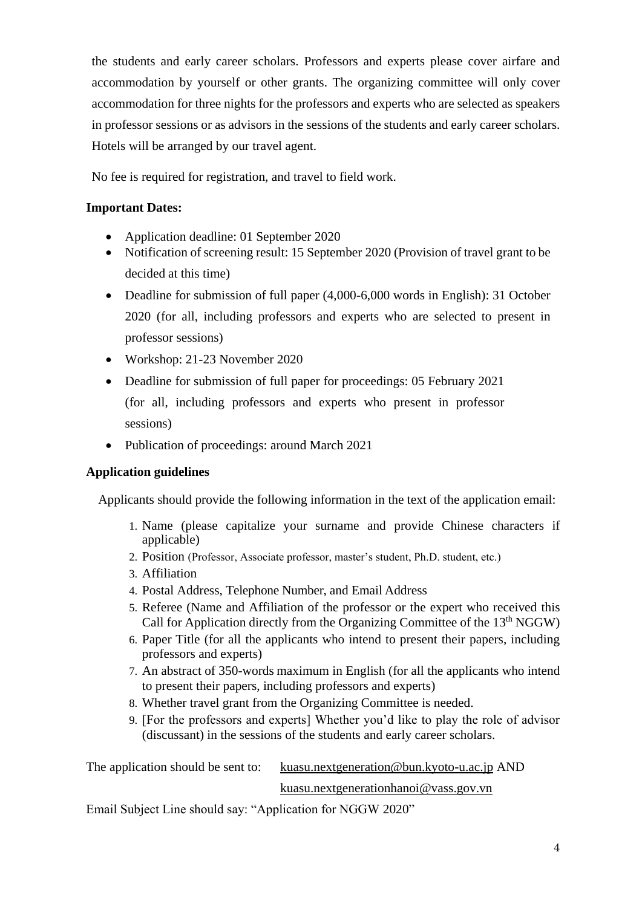the students and early career scholars. Professors and experts please cover airfare and accommodation by yourself or other grants. The organizing committee will only cover accommodation for three nights for the professors and experts who are selected as speakers in professor sessions or as advisors in the sessions of the students and early career scholars. Hotels will be arranged by our travel agent.

No fee is required for registration, and travel to field work.

## **Important Dates:**

- Application deadline: 01 September 2020
- Notification of screening result: 15 September 2020 (Provision of travel grant to be decided at this time)
- Deadline for submission of full paper (4,000-6,000 words in English): 31 October 2020 (for all, including professors and experts who are selected to present in professor sessions)
- Workshop: 21-23 November 2020
- Deadline for submission of full paper for proceedings: 05 February 2021 (for all, including professors and experts who present in professor sessions)
- Publication of proceedings: around March 2021

#### **Application guidelines**

Applicants should provide the following information in the text of the application email:

- 1. Name (please capitalize your surname and provide Chinese characters if applicable)
- 2. Position (Professor, Associate professor, master's student, Ph.D. student, etc.)
- 3. Affiliation
- 4. Postal Address, Telephone Number, and Email Address
- 5. Referee (Name and Affiliation of the professor or the expert who received this Call for Application directly from the Organizing Committee of the 13<sup>th</sup> NGGW)
- 6. Paper Title (for all the applicants who intend to present their papers, including professors and experts)
- 7. An abstract of 350-words maximum in English (for all the applicants who intend to present their papers, including professors and experts)
- 8. Whether travel grant from the Organizing Committee is needed.
- 9. [For the professors and experts] Whether you'd like to play the role of advisor (discussant) in the sessions of the students and early career scholars.

The application should be sent to: [kuasu.nextgeneration@bun.kyoto-u.ac.jp](mailto:kuasu.nextgeneration@bun.kyoto-u.ac.jp) AND

# [kuasu.nextgenerationhanoi@vass.gov.vn](mailto:kuasu.nextgenerationhanoi@vass.gov.vn)

Email Subject Line should say: "Application for NGGW 2020"